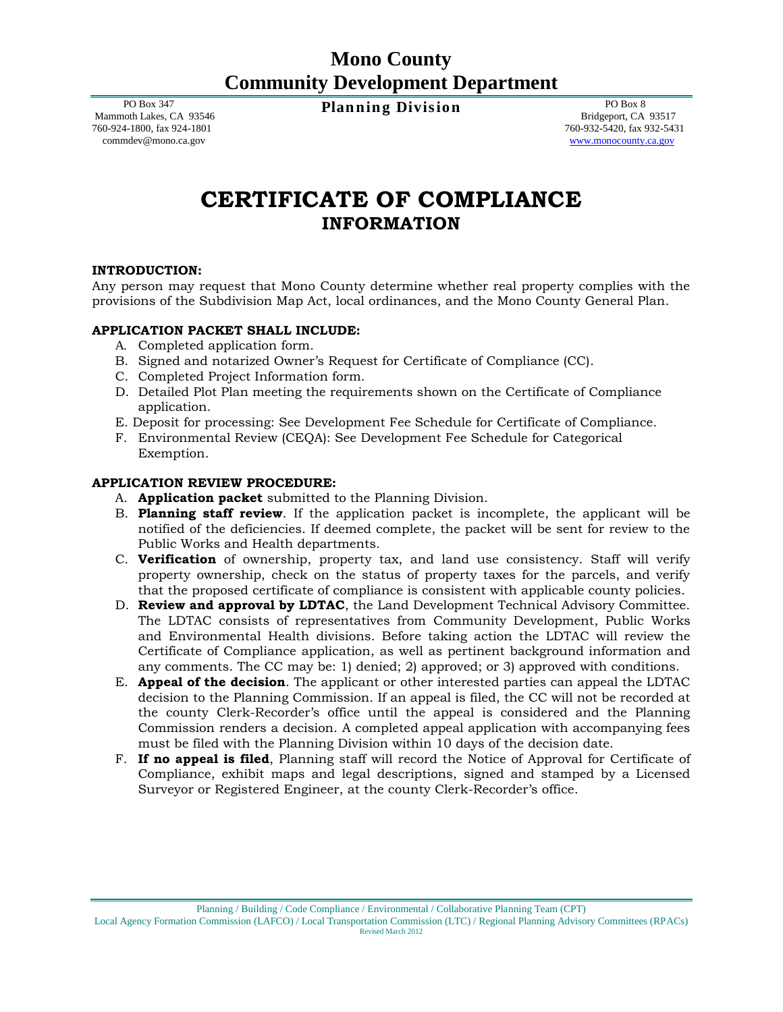## **Mono County Community Development Department**

 PO Box 347 Mammoth Lakes, CA 93546 760-924-1800, fax 924-1801 commdev@mono.ca.gov

**Planning Division** PO Box 8

 Bridgeport, CA 93517 760-932-5420, fax 932-5431 [www.monocounty.ca.gov](http://www.monocounty.ca.gov/)

# **CERTIFICATE OF COMPLIANCE INFORMATION**

## **INTRODUCTION:**

Any person may request that Mono County determine whether real property complies with the provisions of the Subdivision Map Act, local ordinances, and the Mono County General Plan.

## **APPLICATION PACKET SHALL INCLUDE:**

- A. Completed application form.
- B. Signed and notarized Owner's Request for Certificate of Compliance (CC).
- C. Completed Project Information form.
- D. Detailed Plot Plan meeting the requirements shown on the Certificate of Compliance application.
- E. Deposit for processing: See Development Fee Schedule for Certificate of Compliance.
- F. Environmental Review (CEQA): See Development Fee Schedule for Categorical Exemption.

## **APPLICATION REVIEW PROCEDURE:**

- A. **Application packet** submitted to the Planning Division.
- B. **Planning staff review**. If the application packet is incomplete, the applicant will be notified of the deficiencies. If deemed complete, the packet will be sent for review to the Public Works and Health departments.
- C. **Verification** of ownership, property tax, and land use consistency. Staff will verify property ownership, check on the status of property taxes for the parcels, and verify that the proposed certificate of compliance is consistent with applicable county policies.
- D. **Review and approval by LDTAC**, the Land Development Technical Advisory Committee. The LDTAC consists of representatives from Community Development, Public Works and Environmental Health divisions. Before taking action the LDTAC will review the Certificate of Compliance application, as well as pertinent background information and any comments. The CC may be: 1) denied; 2) approved; or 3) approved with conditions.
- E. **Appeal of the decision**. The applicant or other interested parties can appeal the LDTAC decision to the Planning Commission. If an appeal is filed, the CC will not be recorded at the county Clerk-Recorder's office until the appeal is considered and the Planning Commission renders a decision. A completed appeal application with accompanying fees must be filed with the Planning Division within 10 days of the decision date.
- F. **If no appeal is filed**, Planning staff will record the Notice of Approval for Certificate of Compliance, exhibit maps and legal descriptions, signed and stamped by a Licensed Surveyor or Registered Engineer, at the county Clerk-Recorder's office.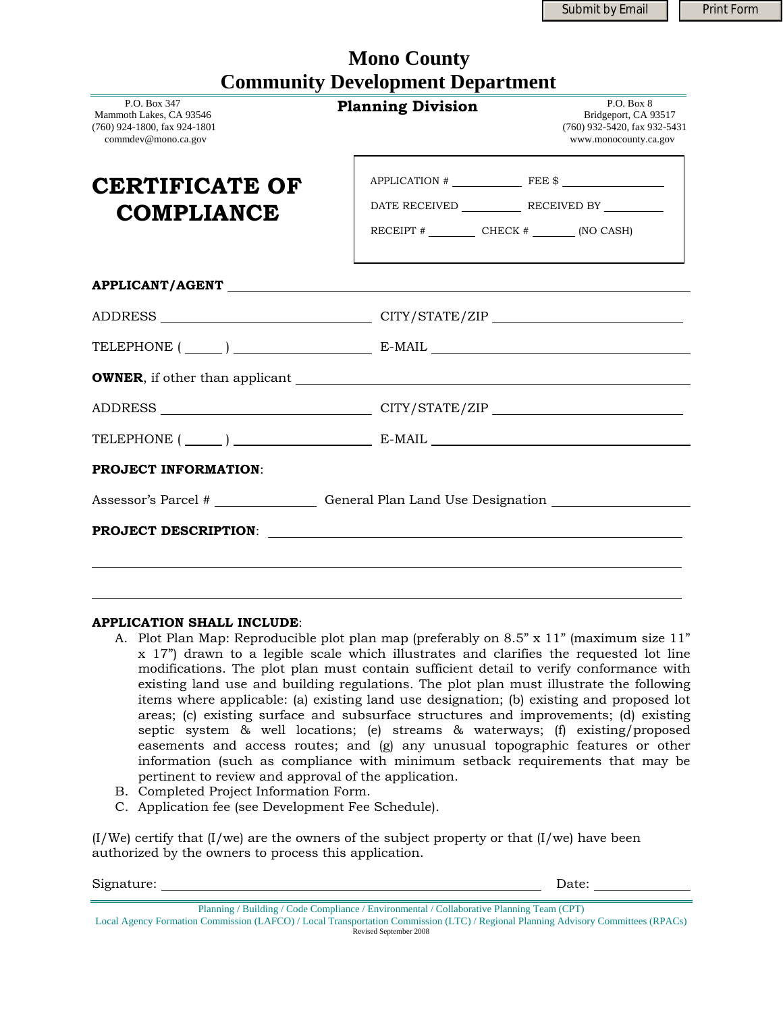Submit by Email **Print Form** 

| <b>Community Development Department</b>                                                        |                          |                                                                                             |  |  |  |
|------------------------------------------------------------------------------------------------|--------------------------|---------------------------------------------------------------------------------------------|--|--|--|
| P.O. Box 347<br>Mammoth Lakes, CA 93546<br>(760) 924-1800, fax 924-1801<br>commdev@mono.ca.gov | <b>Planning Division</b> | P.O. Box 8<br>Bridgeport, CA 93517<br>(760) 932-5420, fax 932-5431<br>www.monocounty.ca.gov |  |  |  |
| <b>CERTIFICATE OF</b><br><b>COMPLIANCE</b>                                                     | $APPLICATION # \n$       |                                                                                             |  |  |  |
|                                                                                                |                          |                                                                                             |  |  |  |
|                                                                                                |                          |                                                                                             |  |  |  |
|                                                                                                |                          |                                                                                             |  |  |  |
|                                                                                                |                          |                                                                                             |  |  |  |
|                                                                                                |                          |                                                                                             |  |  |  |
|                                                                                                |                          |                                                                                             |  |  |  |
| <b>PROJECT INFORMATION:</b>                                                                    |                          |                                                                                             |  |  |  |
| Assessor's Parcel # __________________ General Plan Land Use Designation ________              |                          |                                                                                             |  |  |  |
|                                                                                                |                          |                                                                                             |  |  |  |
|                                                                                                |                          |                                                                                             |  |  |  |

 **Mono County** 

## **APPLICATION SHALL INCLUDE**:

- A. Plot Plan Map: Reproducible plot plan map (preferably on 8.5" x 11" (maximum size 11" x 17") drawn to a legible scale which illustrates and clarifies the requested lot line modifications. The plot plan must contain sufficient detail to verify conformance with existing land use and building regulations. The plot plan must illustrate the following items where applicable: (a) existing land use designation; (b) existing and proposed lot areas; (c) existing surface and subsurface structures and improvements; (d) existing septic system & well locations; (e) streams & waterways; (f) existing/proposed easements and access routes; and (g) any unusual topographic features or other information (such as compliance with minimum setback requirements that may be pertinent to review and approval of the application.
- B. Completed Project Information Form.
- C. Application fee (see Development Fee Schedule).

 $(I/We)$  certify that  $(I/we)$  are the owners of the subject property or that  $(I/we)$  have been authorized by the owners to process this application.

Signature: Date: Date: Date: Date: Date: Date: Date: Date: Date: Date: Date: Date: Date: Date: Date: Date: Date: Date: Date: Date: Date: Date: Date: Date: Date: Date: Date: Date: Date: Date: Date: Date: Date: Date: Date: D

 $\overline{a}$ 

Planning / Building / Code Compliance / Environmental / Collaborative Planning Team (CPT)

Local Agency Formation Commission (LAFCO) / Local Transportation Commission (LTC) / Regional Planning Advisory Committees (RPACs) Revised September 2008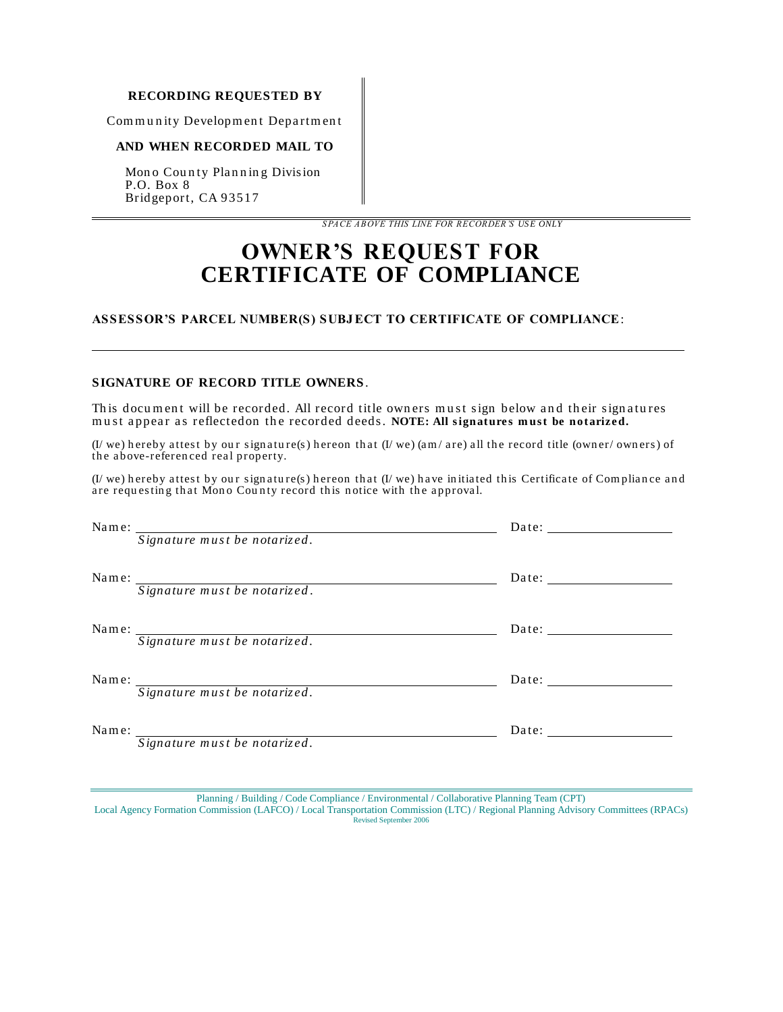#### **RECORDING REQUESTED BY**

Community Development Department

#### **AND WHEN RECORDED MAIL TO**

Mono County Planning Division P.O. Box 8 Bridgeport, CA 93517

*S PACE ABOVE THIS LINE FOR RECORDER'S US E ONLY*

## **OWNER'S REQUEST FOR CERTIFICATE OF COMPLIANCE**

## **ASSESSOR'S PARCEL NUMBER(S) SUBJ ECT TO CERTIFICATE OF COMPLIANCE**:

#### **SIGNATURE OF RECORD TITLE OWNERS**.

ı

This document will be recorded. All record title owners must sign below and their signatures must appear as reflectedon the recorded deeds. **NOTE: All signatures must be notarized.** 

(I/ we) hereby attest by our signature(s) hereon that  $(I/we)$  (am/ are) all the record title (owner/ owners) of the above-referenced real property.

 $(I/we)$  hereby attest by our signature(s) hereon that  $(I/we)$  have initiated this Certificate of Compliance and are requesting that Mono County record this notice with the approval.

|       | Name: Signature must be notarized. | Date:                 |
|-------|------------------------------------|-----------------------|
|       | Name: Signature must be notarized. | Date: $\qquad \qquad$ |
| Name: | Signature must be notarized.       |                       |
|       | Name: Signature must be notarized. | Date:                 |
| Name: | Signature must be notarized.       | Date: $\qquad \qquad$ |

Planning / Building / Code Compliance / Environmental / Collaborative Planning Team (CPT)

Local Agency Formation Commission (LAFCO) / Local Transportation Commission (LTC) / Regional Planning Advisory Committees (RPACs) Revised September 2006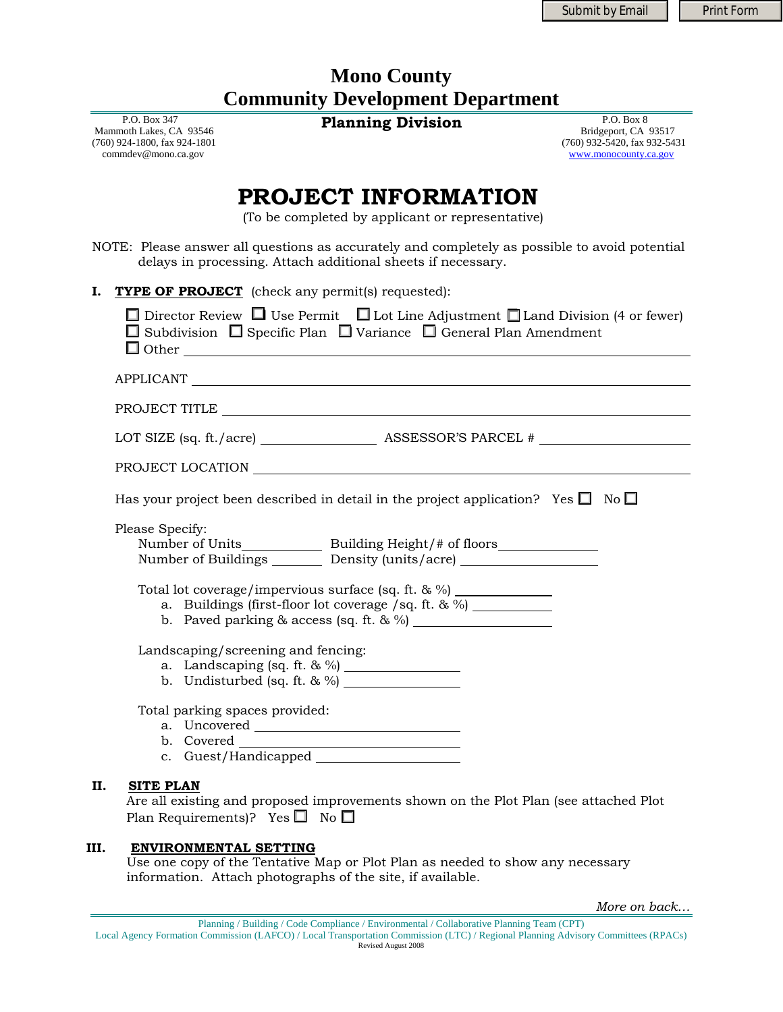## **Mono County Community Development Department**

 P.O. Box 347 Mammoth Lakes, CA 93546 (760) 924-1800, fax 924-1801 commdev@mono.ca.gov

**Planning Division** P.O. Box 8

 Bridgeport, CA 93517 (760) 932-5420, fax 932-5431 [www.monocounty.ca.gov](http://www.monocounty.ca.gov/)

# **PROJECT INFORMATION**

(To be completed by applicant or representative)

NOTE: Please answer all questions as accurately and completely as possible to avoid potential delays in processing. Attach additional sheets if necessary.

| I. | <b>TYPE OF PROJECT</b> (check any permit(s) requested):                                                                                                                                        |
|----|------------------------------------------------------------------------------------------------------------------------------------------------------------------------------------------------|
|    | $\Box$ Director Review $\Box$ Use Permit $\Box$ Lot Line Adjustment $\Box$ Land Division (4 or fewer)<br>$\Box$ Subdivision $\Box$ Specific Plan $\Box$ Variance $\Box$ General Plan Amendment |
|    | APPLICANT                                                                                                                                                                                      |
|    |                                                                                                                                                                                                |
|    |                                                                                                                                                                                                |
|    |                                                                                                                                                                                                |
|    | Has your project been described in detail in the project application? Yes $\square$ No $\square$                                                                                               |
|    | Please Specify:<br>Number of Units_______________ Building Height/# of floors______________________<br>Number of Buildings ________ Density (units/acre) ______________________________        |
|    | Total lot coverage/impervious surface (sq. ft. & %) _____________<br>a. Buildings (first-floor lot coverage /sq. ft. & %) ___________                                                          |
|    | Landscaping/screening and fencing:<br>a. Landscaping (sq. ft. & %) $\frac{1}{2}$<br>b. Undisturbed (sq. ft. $\& \frac{\%}{\%}$ )                                                               |
|    | Total parking spaces provided:                                                                                                                                                                 |
| П. | <b>SITE PLAN</b><br>Are all existing and proposed improvements shown on the Plot Plan (see attached Plot<br>Plan Requirements)? Yes $\Box$ No $\Box$                                           |

## **III. ENVIRONMENTAL SETTING**

Use one copy of the Tentative Map or Plot Plan as needed to show any necessary information. Attach photographs of the site, if available.

*More on back…*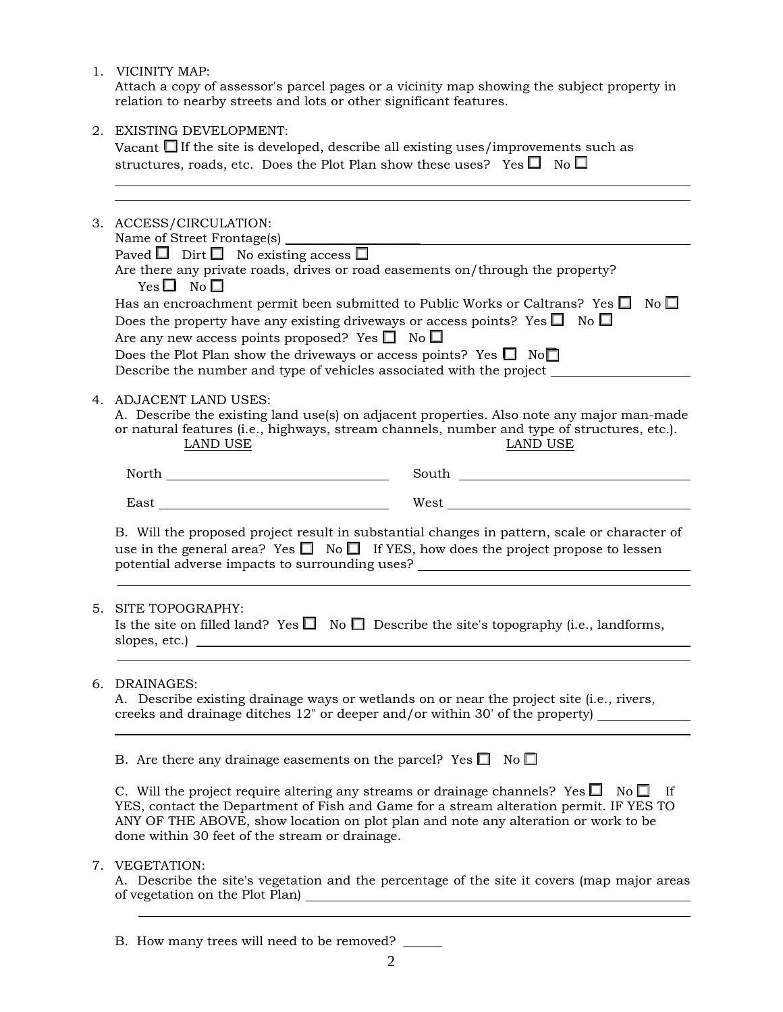1. VICINITY MAP:

 Attach a copy of assessor's parcel pages or a vicinity map showing the subject property in relation to nearby streets and lots or other significant features.

2. EXISTING DEVELOPMENT:

Vacant  $\Box$  If the site is developed, describe all existing uses/improvements such as structures, roads, etc. Does the Plot Plan show these uses? Yes  $\Box$  No  $\Box$ 

|                        | 3. ACCESS/CIRCULATION:<br>Name of Street Frontage(s) ________<br>Paved $\Box$ Dirt $\Box$ No existing access $\Box$<br>Are there any private roads, drives or road easements on/through the property?<br>$Yes \Box No \Box$<br>Has an encroachment permit been submitted to Public Works or Caltrans? Yes $\Box$<br>$\overline{N}$ o $\Box$<br>Does the property have any existing driveways or access points? Yes $\Box$ No $\Box$<br>Are any new access points proposed? Yes $\square$ No $\square$ |                                                                                                                 |  |  |
|------------------------|-------------------------------------------------------------------------------------------------------------------------------------------------------------------------------------------------------------------------------------------------------------------------------------------------------------------------------------------------------------------------------------------------------------------------------------------------------------------------------------------------------|-----------------------------------------------------------------------------------------------------------------|--|--|
|                        | Does the Plot Plan show the driveways or access points? Yes $\Box$ No $\Box$<br>Describe the number and type of vehicles associated with the project                                                                                                                                                                                                                                                                                                                                                  |                                                                                                                 |  |  |
| 4. ADJACENT LAND USES: | A. Describe the existing land use(s) on adjacent properties. Also note any major man-made<br>or natural features (i.e., highways, stream channels, number and type of structures, etc.).<br>LAND USE                                                                                                                                                                                                                                                                                                  |                                                                                                                 |  |  |
|                        | ${\hbox{North}} \hspace{20pt} \rule{20pt}{2.5ex}$                                                                                                                                                                                                                                                                                                                                                                                                                                                     | South Lawrence and the second service of the service of the service of the service of the service of the series |  |  |
|                        |                                                                                                                                                                                                                                                                                                                                                                                                                                                                                                       |                                                                                                                 |  |  |
|                        | B. Will the proposed project result in substantial changes in pattern, scale or character of<br>use in the general area? Yes $\Box$ No $\Box$ If YES, how does the project propose to lessen<br>potential adverse impacts to surrounding uses? _________________________________                                                                                                                                                                                                                      |                                                                                                                 |  |  |
| 5.                     | SITE TOPOGRAPHY:<br>Is the site on filled land? Yes $\Box$ No $\Box$ Describe the site's topography (i.e., landforms,                                                                                                                                                                                                                                                                                                                                                                                 |                                                                                                                 |  |  |
| 6.                     | DRAINAGES:<br>A. Describe existing drainage ways or wetlands on or near the project site (i.e., rivers,<br>creeks and drainage ditches 12" or deeper and/or within 30' of the property)                                                                                                                                                                                                                                                                                                               |                                                                                                                 |  |  |
|                        | B. Are there any drainage easements on the parcel? Yes $\Box$ No $\Box$                                                                                                                                                                                                                                                                                                                                                                                                                               |                                                                                                                 |  |  |
|                        | C. Will the project require altering any streams or drainage channels? Yes $\square$ No $\square$ If<br>YES, contact the Department of Fish and Game for a stream alteration permit. IF YES TO<br>ANY OF THE ABOVE, show location on plot plan and note any alteration or work to be<br>done within 30 feet of the stream or drainage.                                                                                                                                                                |                                                                                                                 |  |  |
|                        | 7. VEGETATION:                                                                                                                                                                                                                                                                                                                                                                                                                                                                                        | A. Describe the site's vegetation and the percentage of the site it covers (map major areas                     |  |  |

B. How many trees will need to be removed?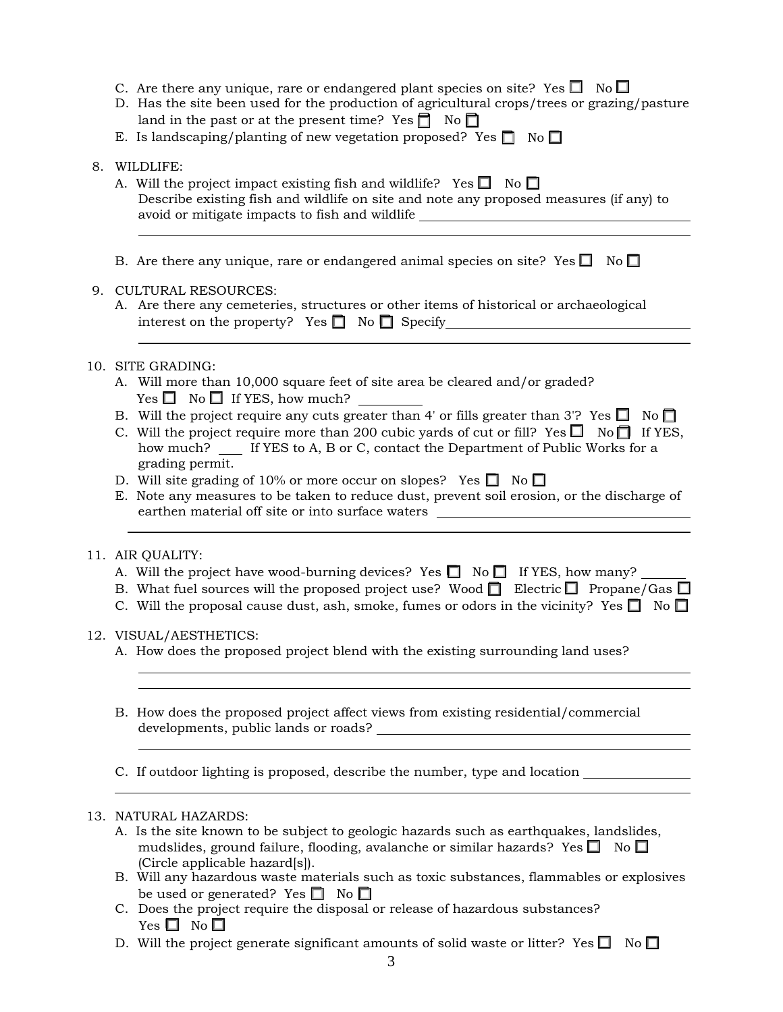- C. Are there any unique, rare or endangered plant species on site? Yes  $\Box$  No  $\Box$
- D. Has the site been used for the production of agricultural crops/trees or grazing/pasture land in the past or at the present time? Yes  $\Box$  No  $\Box$
- E. Is landscaping/planting of new vegetation proposed? Yes  $\Box$  No  $\Box$
- 8. WILDLIFE:
	- A. Will the project impact existing fish and wildlife? Yes  $\Box$  No  $\Box$  Describe existing fish and wildlife on site and note any proposed measures (if any) to avoid or mitigate impacts to fish and wildlife
	- B. Are there any unique, rare or endangered animal species on site? Yes  $\square$  No  $\square$

## 9. CULTURAL RESOURCES:

A. Are there any cemeteries, structures or other items of historical or archaeological interest on the property? Yes  $\Box$  No  $\Box$  Specify

## 10. SITE GRADING:

- A. Will more than 10,000 square feet of site area be cleared and/or graded?  $Yes \Box No \Box If Yes, how much?$
- B. Will the project require any cuts greater than 4' or fills greater than 3'? Yes  $\Box$  No  $\Box$
- C. Will the project require more than 200 cubic yards of cut or fill? Yes  $\Box$  No  $\Box$  If YES, how much? If YES to A, B or C, contact the Department of Public Works for a grading permit.
- D. Will site grading of 10% or more occur on slopes? Yes  $\Box$  No  $\Box$
- E. Note any measures to be taken to reduce dust, prevent soil erosion, or the discharge of earthen material off site or into surface waters

## 11. AIR QUALITY:

- A. Will the project have wood-burning devices? Yes  $\Box$  No  $\Box$  If YES, how many?
- B. What fuel sources will the proposed project use? Wood  $\Box$  Electric  $\Box$  Propane/Gas  $\Box$
- C. Will the proposal cause dust, ash, smoke, fumes or odors in the vicinity? Yes  $\Box$  No  $\Box$

## 12. VISUAL/AESTHETICS:

- A. How does the proposed project blend with the existing surrounding land uses?
- B. How does the proposed project affect views from existing residential/commercial developments, public lands or roads?

C. If outdoor lighting is proposed, describe the number, type and location

## 13. NATURAL HAZARDS:

- A. Is the site known to be subject to geologic hazards such as earthquakes, landslides, mudslides, ground failure, flooding, avalanche or similar hazards? Yes  $\Box$  No  $\Box$  (Circle applicable hazard[s]).
- B. Will any hazardous waste materials such as toxic substances, flammables or explosives be used or generated? Yes  $\Box$  No  $\Box$
- C. Does the project require the disposal or release of hazardous substances? Yes  $\square$  No  $\square$
- D. Will the project generate significant amounts of solid waste or litter? Yes  $\Box$  No  $\Box$